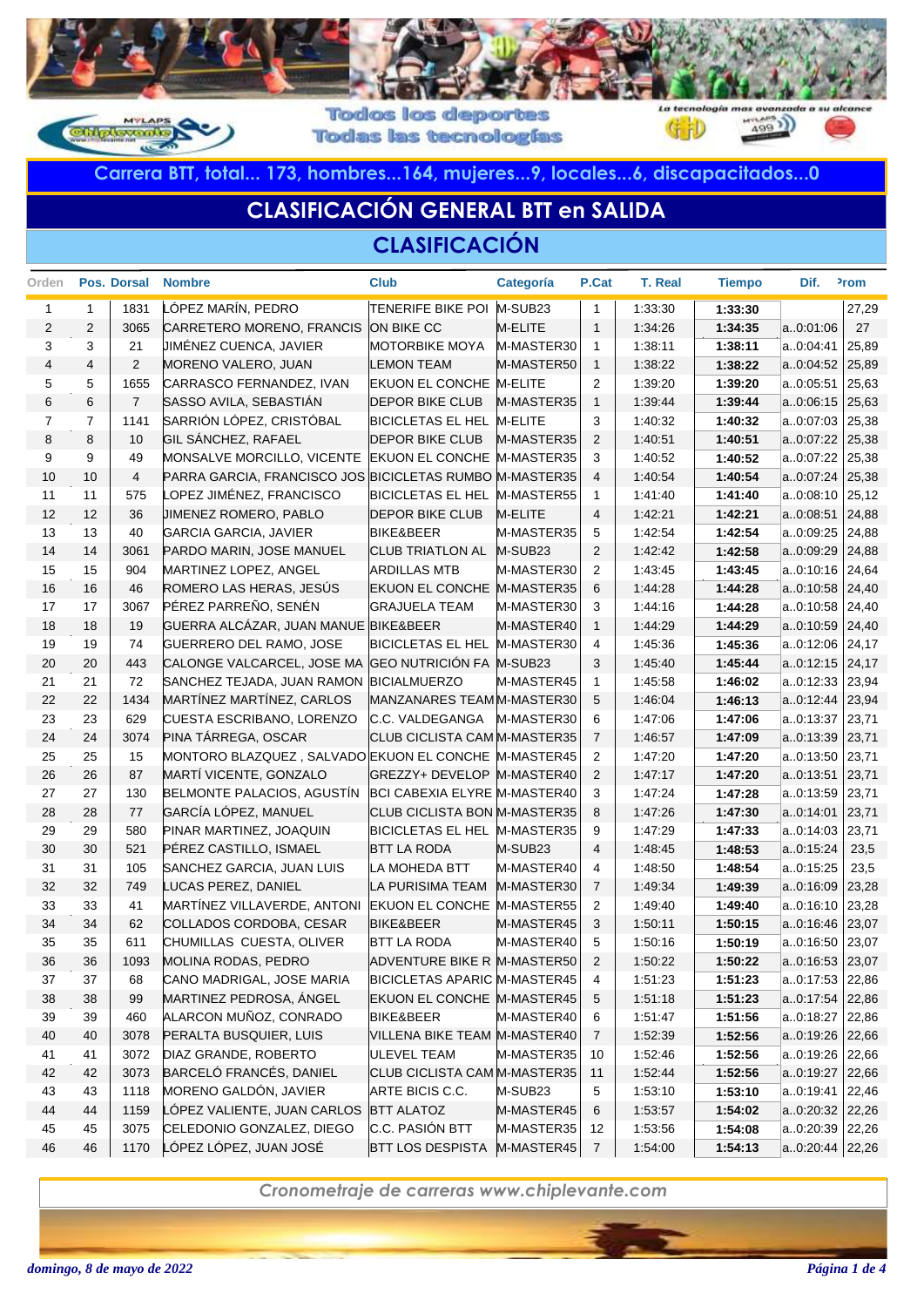

**Carrera BTT, total... 173, hombres...164, mujeres...9, locales...6, discapacitados...0**

## **CLASIFICACIÓN GENERAL BTT en SALIDA**

### **CLASIFICACIÓN**

| Orden          |                | Pos. Dorsal    | <b>Nombre</b>                                           | <b>Club</b>                                        | Categoría           | P.Cat               | <b>T. Real</b>     | <b>Tiempo</b>      | Dif.                 | <sup>2</sup> rom |
|----------------|----------------|----------------|---------------------------------------------------------|----------------------------------------------------|---------------------|---------------------|--------------------|--------------------|----------------------|------------------|
| $\mathbf{1}$   | $\mathbf{1}$   | 1831           | LÓPEZ MARÍN, PEDRO                                      | <b>TENERIFE BIKE POI</b>                           | M-SUB <sub>23</sub> | $\mathbf{1}$        | 1:33:30            | 1:33:30            |                      | 27,29            |
| $\overline{2}$ | $\overline{2}$ | 3065           | CARRETERO MORENO, FRANCIS                               | ON BIKE CC                                         | M-ELITE             | $\mathbf{1}$        | 1:34:26            | 1:34:35            | a0:01:06             | 27               |
| 3              | 3              | 21             | UIMÉNEZ CUENCA, JAVIER                                  | <b>MOTORBIKE MOYA</b>                              | M-MASTER30          | $\mathbf{1}$        | 1:38:11            | 1:38:11            | a0:04:41             | 25,89            |
| $\overline{4}$ | $\overline{4}$ | $\overline{2}$ | MORENO VALERO, JUAN                                     | <b>LEMON TEAM</b>                                  | M-MASTER50          | $\mathbf{1}$        | 1:38:22            | 1:38:22            | a.0.04:52            | 25,89            |
| 5              | 5              | 1655           | CARRASCO FERNANDEZ, IVAN                                | EKUON EL CONCHE M-ELITE                            |                     | $\overline{2}$      | 1:39:20            | 1:39:20            | a.0:05:51            | 25,63            |
| 6              | 6              | $\overline{7}$ | SASSO AVILA, SEBASTIÁN                                  | <b>DEPOR BIKE CLUB</b>                             | M-MASTER35          | $\mathbf{1}$        | 1.39.44            | 1:39:44            | a.0:06:15            | 25,63            |
| $\overline{7}$ | $\overline{7}$ | 1141           | SARRIÓN LÓPEZ, CRISTÓBAL                                | <b>BICICLETAS EL HEL</b>                           | M-ELITE             | 3                   | 1:40:32            | 1:40:32            | a0:07:03             | 25,38            |
| 8              | 8              | 10             | GIL SÁNCHEZ, RAFAEL                                     | <b>DEPOR BIKE CLUB</b>                             | M-MASTER35          | 2                   | 1:40:51            | 1:40:51            | a0:07:22             | 25,38            |
| 9              | 9              | 49             | MONSALVE MORCILLO, VICENTE                              | <b>EKUON EL CONCHE M-MASTER35</b>                  |                     | 3                   | 1:40:52            | 1:40:52            | a0:07:22             | 25,38            |
| 10             | 10             | $\overline{4}$ | PARRA GARCIA, FRANCISCO JOS BICICLETAS RUMBO M-MASTER35 |                                                    |                     | $\overline{4}$      | 1:40:54            | 1:40:54            | a.0:07:24            | 25,38            |
| 11             | 11             | 575            | LOPEZ JIMÉNEZ, FRANCISCO                                | BICICLETAS EL HEL M-MASTER55                       |                     | 1                   | 1:41:40            | 1:41:40            | $a.0:08:10$ 25,12    |                  |
| 12             | 12             | 36             | <b>JIMENEZ ROMERO, PABLO</b>                            | <b>DEPOR BIKE CLUB</b>                             | M-ELITE             | $\overline{4}$      | 1:42:21            | 1:42:21            | $a.0:08:51$ 24,88    |                  |
| 13             | 13             | 40             | <b>GARCIA GARCIA, JAVIER</b>                            | <b>BIKE&amp;BEER</b>                               | M-MASTER35          | 5                   | 1:42:54            | 1:42:54            | a0:09:25             | 24,88            |
| 14             | 14             | 3061           | PARDO MARIN, JOSE MANUEL                                | <b>CLUB TRIATLON AL</b>                            | M-SUB <sub>23</sub> | $\overline{2}$      | 1:42:42            | 1:42:58            | a0:09:29 24,88       |                  |
| 15             | 15             | 904            | MARTINEZ LOPEZ, ANGEL                                   | <b>ARDILLAS MTB</b>                                | M-MASTER30          | $\overline{2}$      | 1:43:45            | 1:43:45            | a0:10:16 24,64       |                  |
| 16             | 16             | 46             | ROMERO LAS HERAS, JESÚS                                 | EKUON EL CONCHE M-MASTER35                         |                     | 6                   | 1:44:28            | 1:44:28            | $a.0:10:58$ 24,40    |                  |
| 17             | 17             | 3067           | PÉREZ PARREÑO, SENÉN                                    | <b>GRAJUELA TEAM</b>                               | M-MASTER30          | 3                   | 1:44:16            | 1:44:28            | a0:10:58 24,40       |                  |
| 18             | 18             | 19             | GUERRA ALCÁZAR, JUAN MANUE BIKE&BEER                    |                                                    | M-MASTER40          | $\mathbf{1}$        | 1:44:29            | 1:44:29            | $a.0:10:59$ 24,40    |                  |
| 19             | 19             | 74             | GUERRERO DEL RAMO, JOSE                                 | BICICLETAS EL HEL M-MASTER30                       |                     | 4                   | 1:45:36            | 1:45:36            | $a_{.0:12:06}$ 24,17 |                  |
| 20             | 20             | 443            | CALONGE VALCARCEL, JOSE MA GEO NUTRICIÓN FA M-SUB23     |                                                    |                     | 3                   | 1:45:40            | 1:45:44            | $a_{.0:12:15}$ 24,17 |                  |
| 21             | 21             | 72             | SANCHEZ TEJADA, JUAN RAMON BICIALMUERZO                 |                                                    | M-MASTER45          | $\mathbf{1}$        | 1:45:58            | 1:46:02            | a.0:12:33            | 23,94            |
| 22             | 22             | 1434           | MARTÍNEZ MARTÍNEZ, CARLOS                               | MANZANARES TEAM M-MASTER30                         |                     | 5                   | 1:46:04            | 1:46:13            | a0:12:44             | 23,94            |
| 23             | 23             | 629            | CUESTA ESCRIBANO, LORENZO                               | C.C. VALDEGANGA                                    | M-MASTER30          | 6                   | 1:47:06            | 1:47:06            | a0:13:37             | 23,71            |
| 24             | 24             | 3074           | PINA TÁRREGA, OSCAR                                     | CLUB CICLISTA CAM M-MASTER35                       |                     | $\overline{7}$      | 1.46.57            | 1:47:09            | a.0:13:39            | 23,71            |
| 25             | 25             | 15             | MONTORO BLAZQUEZ, SALVADO EKUON EL CONCHE M-MASTER45    |                                                    |                     | 2                   | 1:47:20            | 1:47:20            | a0:13:50             | 23,71            |
| 26             | 26             | 87             | MARTÍ VICENTE, GONZALO                                  | GREZZY+ DEVELOP M-MASTER40                         |                     | $\overline{2}$      | 1:47:17            | 1:47:20            | $a.0:13:51$ 23,71    |                  |
| 27             | 27             | 130            | BELMONTE PALACIOS, AGUSTÍN<br>GARCÍA LÓPEZ, MANUEL      | BCI CABEXIA ELYRE M-MASTER40                       |                     | 3                   | 1:47:24            | 1:47:28            | a0:13:59             | 23,71            |
| 28             | 28<br>29       | 77<br>580      |                                                         | CLUB CICLISTA BON M-MASTER35                       |                     | 8                   | 1.47.26            | 1:47:30            | a0:14:01             | 23,71            |
| 29<br>30       | 30             | 521            | PINAR MARTINEZ, JOAQUIN<br>PÉREZ CASTILLO, ISMAEL       | BICICLETAS EL HEL M-MASTER35<br><b>BTT LA RODA</b> | M-SUB <sub>23</sub> | 9<br>$\overline{4}$ | 1:47.29<br>1:48:45 | 1:47:33            | a0:14:03<br>a0:15:24 | 23,71<br>23,5    |
| 31             | 31             | 105            | SANCHEZ GARCIA, JUAN LUIS                               | LA MOHEDA BTT                                      | M-MASTER40          | 4                   | 1:48:50            | 1:48:53<br>1:48:54 | a0:15:25             | 23,5             |
| 32             | 32             | 749            | LUCAS PEREZ, DANIEL                                     | LA PURISIMA TEAM                                   | M-MASTER30          | $\overline{7}$      | 1:49:34            | 1:49:39            | a0:16:09             | 23,28            |
| 33             | 33             | 41             | MARTÍNEZ VILLAVERDE, ANTONI                             | EKUON EL CONCHE M-MASTER55                         |                     | 2                   | 1:49:40            | 1:49:40            | a0:16:10             | 23,28            |
| 34             | 34             | 62             | COLLADOS CORDOBA, CESAR                                 | <b>BIKE&amp;BEER</b>                               | M-MASTER45          | 3                   | 1:50:11            | 1:50:15            | a0:16:46             | 23,07            |
| 35             | 35             | 611            | CHUMILLAS CUESTA, OLIVER                                | <b>BTT LA RODA</b>                                 | M-MASTER40          | 5                   | 1:50:16            | 1:50:19            | a0:16:50             | 23,07            |
| 36             | 36             | 1093           | MOLINA RODAS, PEDRO                                     | ADVENTURE BIKE R M-MASTER50                        |                     | 2                   | 1.50.22            | 1:50:22            | $a.0.16.53$ 23,07    |                  |
| 37             | 37             | 68             | CANO MADRIGAL, JOSE MARIA                               | BICICLETAS APARIC M-MASTER45                       |                     | 4                   | 1:51:23            | 1:51:23            | $a.0.17.53$ 22,86    |                  |
| 38             | 38             | 99             | MARTINEZ PEDROSA, ÁNGEL                                 | <b>EKUON EL CONCHE M-MASTER45</b>                  |                     | 5                   | 1:51:18            | 1:51:23            | $a.0:17:54$ 22,86    |                  |
| 39             | 39             | 460            | ALARCON MUÑOZ, CONRADO                                  | <b>BIKE&amp;BEER</b>                               | M-MASTER40          | 6                   | 1:51:47            | 1:51:56            | a0:18:27 22,86       |                  |
| 40             | 40             | 3078           | PERALTA BUSQUIER, LUIS                                  | VILLENA BIKE TEAM M-MASTER40                       |                     | $\overline{7}$      | 1:52:39            | 1:52:56            | a0:19:26 22,66       |                  |
| 41             | 41             | 3072           | DIAZ GRANDE, ROBERTO                                    | <b>ULEVEL TEAM</b>                                 | M-MASTER35          | 10                  | 1:52:46            | 1:52:56            | a0:19:26 22,66       |                  |
| 42             | 42             | 3073           | BARCELÓ FRANCÉS, DANIEL                                 | CLUB CICLISTA CAM M-MASTER35                       |                     | 11                  | 1:52:44            | 1:52:56            | a0:19:27 22,66       |                  |
| 43             | 43             | 1118           | MORENO GALDÓN, JAVIER                                   | ARTE BICIS C.C.                                    | M-SUB23             | 5                   | 1:53:10            | 1:53:10            | $a.0:19:41$ 22,46    |                  |
| 44             | 44             | 1159           | LÓPEZ VALIENTE, JUAN CARLOS                             | <b>BTT ALATOZ</b>                                  | M-MASTER45          | 6                   | 1:53:57            | 1:54:02            | $a.0:20:32$ 22,26    |                  |
| 45             | 45             | 3075           | CELEDONIO GONZALEZ, DIEGO                               | C.C. PASIÓN BTT                                    | M-MASTER35          | 12                  | 1:53:56            | 1:54:08            | $a.0:20:39$ 22,26    |                  |
| 46             | 46             | 1170           | LÓPEZ LÓPEZ, JUAN JOSÉ                                  | <b>BTT LOS DESPISTA</b>                            | M-MASTER45          | $\overline{7}$      | 1:54:00            | 1:54:13            | $a.0:20:44$ 22,26    |                  |
|                |                |                |                                                         |                                                    |                     |                     |                    |                    |                      |                  |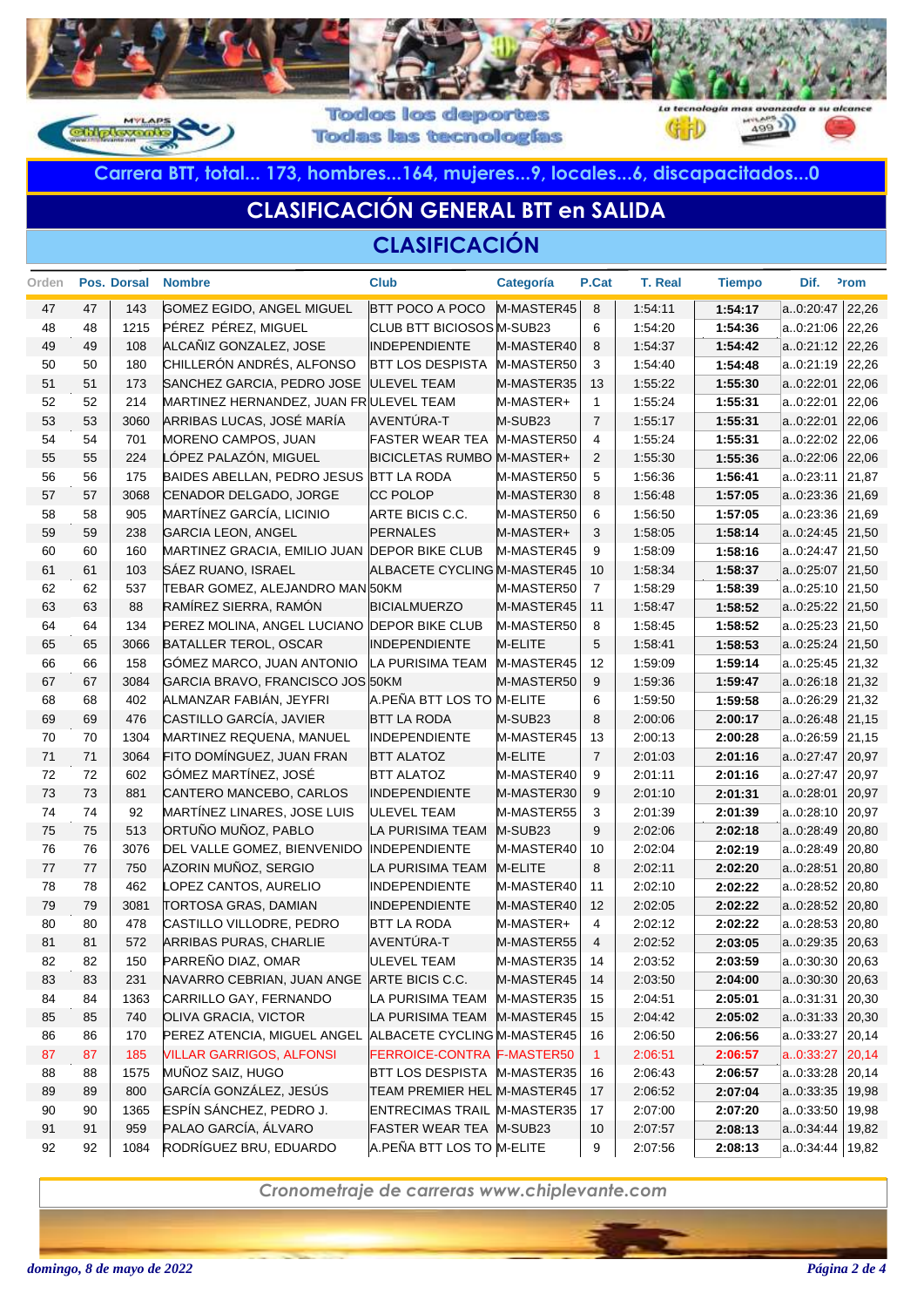

**Carrera BTT, total... 173, hombres...164, mujeres...9, locales...6, discapacitados...0**

# **CLASIFICACIÓN GENERAL BTT en SALIDA**

### **CLASIFICACIÓN**

| Orden    |          | Pos. Dorsal | <b>Nombre</b>                                           | <b>Club</b>                        | Categoría                         | P.Cat          | <b>T. Real</b>     | <b>Tiempo</b>      | Dif.                 | <sup>2</sup> rom |
|----------|----------|-------------|---------------------------------------------------------|------------------------------------|-----------------------------------|----------------|--------------------|--------------------|----------------------|------------------|
| 47       | 47       | 143         | GOMEZ EGIDO, ANGEL MIGUEL                               | <b>BTT POCO A POCO</b>             | M-MASTER45                        | 8              | 1:54:11            | 1:54:17            | a.0:20:47            | 22,26            |
| 48       | 48       | 1215        | PÉREZ PÉREZ, MIGUEL                                     | CLUB BTT BICIOSOS M-SUB23          |                                   | 6              | 1:54:20            | 1:54:36            | a.0:21:06            | 22,26            |
| 49       | 49       | 108         | ALCAÑIZ GONZALEZ, JOSE                                  | <b>INDEPENDIENTE</b>               | M-MASTER40                        | 8              | 1:54:37            | 1:54:42            | a0:21:12             | 22,26            |
| 50       | 50       | 180         | CHILLERÓN ANDRÉS, ALFONSO                               | <b>BTT LOS DESPISTA</b>            | M-MASTER50                        | 3              | 1:54:40            | 1:54:48            | a.0:21:19            | 22,26            |
| 51       | 51       | 173         | SANCHEZ GARCIA, PEDRO JOSE                              | <b>ULEVEL TEAM</b>                 | M-MASTER35                        | 13             | 1:55.22            | 1:55:30            | a0:22:01             | 22,06            |
| 52       | 52       | 214         | MARTINEZ HERNANDEZ, JUAN FR ULEVEL TEAM                 |                                    | M-MASTER+                         | $\mathbf{1}$   | 1:55.24            | 1:55:31            | a0:22:01             | 22,06            |
| 53       | 53       | 3060        | ARRIBAS LUCAS, JOSÉ MARÍA                               | AVENTÚRA-T                         | M-SUB23                           | $\overline{7}$ | 1:55.17            | 1:55:31            | a0:22:01             | 22,06            |
| 54       | 54       | 701         | MORENO CAMPOS, JUAN                                     | <b>FASTER WEAR TEA</b>             | M-MASTER50                        | 4              | 1:55.24            | 1:55:31            | a0:22:02             | 22,06            |
| 55       | 55       | 224         | LÓPEZ PALAZÓN, MIGUEL                                   | <b>BICICLETAS RUMBO M-MASTER+</b>  |                                   | 2              | 1:55:30            | 1:55:36            | a0:22:06             | 22,06            |
| 56       | 56       | 175         | BAIDES ABELLAN, PEDRO JESUS                             | <b>BTT LA RODA</b>                 | M-MASTER50                        | 5              | 1:56:36            | 1:56:41            | a.0:23:11            | 21,87            |
| 57       | 57       | 3068        | CENADOR DELGADO, JORGE                                  | <b>CC POLOP</b>                    | M-MASTER30                        | 8              | 1:56:48            | 1:57:05            | a.0:23:36            | 21,69            |
| 58       | 58       | 905         | MARTÍNEZ GARCÍA, LICINIO                                | ARTE BICIS C.C.                    | M-MASTER50                        | 6              | 1:56:50            | 1:57:05            | a.0:23:36            | 21,69            |
| 59       | 59       | 238         | <b>GARCIA LEON, ANGEL</b>                               | <b>PERNALES</b>                    | M-MASTER+                         | 3              | 1:58:05            | 1:58:14            | a.0:24:45            | 21,50            |
| 60       | 60       | 160         | MARTINEZ GRACIA, EMILIO JUAN DEPOR BIKE CLUB            |                                    | M-MASTER45                        | 9              | 1:58:09            | 1:58:16            | a0:24:47             | 21,50            |
| 61       | 61       | 103         | SÁEZ RUANO, ISRAEL                                      | ALBACETE CYCLING M-MASTER45        |                                   | 10             | 1:58:34            | 1:58:37            | a0:25:07             | 21,50            |
| 62       | 62       | 537         | TEBAR GOMEZ, ALEJANDRO MAN 50KM                         |                                    | M-MASTER50                        | $\overline{7}$ | 1:58:29            | 1:58:39            | a.0:25:10            | 21,50            |
| 63       | 63       | 88          | RAMÍREZ SIERRA, RAMÓN                                   | <b>BICIALMUERZO</b>                | M-MASTER45                        | 11             | 1:58:47            | 1:58:52            | a0:25:22             | 21,50            |
| 64       | 64       | 134         | PEREZ MOLINA, ANGEL LUCIANO                             | <b>DEPOR BIKE CLUB</b>             | M-MASTER50                        | 8              | 1:58:45            | 1:58:52            | a.0:25:23            | 21,50            |
| 65       | 65       | 3066        | BATALLER TEROL, OSCAR                                   | <b>INDEPENDIENTE</b>               | M-ELITE                           | 5              | 1:58:41            | 1:58:53            | a.0:25:24            | 21,50            |
| 66       | 66       | 158         | GÓMEZ MARCO, JUAN ANTONIO                               | LA PURISIMA TEAM                   | M-MASTER45                        | 12             | 1:59:09            | 1:59:14            | a.0:25:45            | 21,32            |
| 67       | 67       | 3084        | GARCIA BRAVO, FRANCISCO JOS 50KM                        |                                    | M-MASTER50                        | 9              | 1:59:36            | 1:59:47            | a.0:26:18            | 21,32            |
| 68       | 68       | 402         | ALMANZAR FABIÁN, JEYFRI                                 | A.PEÑA BTT LOS TO M-ELITE          |                                   | 6              | 1:59:50            | 1:59:58            | a0:26:29             | 21,32            |
| 69       | 69       | 476         | CASTILLO GARCÍA, JAVIER                                 | <b>BTT LA RODA</b>                 | M-SUB23                           | 8              | 2:00:06            | 2:00:17            | a0:26:48             | 21,15            |
| 70       | 70       | 1304        | MARTINEZ REQUENA, MANUEL                                | <b>INDEPENDIENTE</b>               | M-MASTER45                        | 13             | 2:00:13            | 2:00:28            | a0:26:59             | 21,15            |
| 71       | 71       | 3064        | FITO DOMÍNGUEZ, JUAN FRAN                               | <b>BTT ALATOZ</b>                  | M-ELITE                           | $\overline{7}$ | 2:01:03            | 2:01:16            | a0:27:47             | 20,97            |
| 72       | 72       | 602         | GÓMEZ MARTÍNEZ, JOSÉ                                    | <b>BTT ALATOZ</b>                  | M-MASTER40                        | 9              | 2:01:11            | 2:01:16            | a0:27:47             | 20,97            |
| 73<br>74 | 73<br>74 | 881<br>92   | CANTERO MANCEBO, CARLOS                                 | INDEPENDIENTE                      | M-MASTER30                        | 9<br>3         | 2:01:10            | 2:01:31            | a0:28:01             | 20,97            |
| 75       | 75       | 513         | MARTÍNEZ LINARES, JOSE LUIS<br>ORTUÑO MUÑOZ, PABLO      | ULEVEL TEAM<br>LA PURISIMA TEAM    | M-MASTER55<br>M-SUB <sub>23</sub> | 9              | 2:01:39<br>2:02:06 | 2:01:39            | a0:28:10<br>a0:28:49 | 20,97<br>20,80   |
| 76       | 76       | 3076        | DEL VALLE GOMEZ, BIENVENIDO                             | <b>INDEPENDIENTE</b>               | M-MASTER40                        | 10             | 2:02:04            | 2:02:18<br>2:02:19 | a0:28:49             | 20,80            |
| 77       | 77       | 750         | AZORIN MUÑOZ, SERGIO                                    | LA PURISIMA TEAM                   | M-ELITE                           | 8              | 2:02:11            | 2:02:20            | a0:28:51             | 20,80            |
| 78       | 78       | 462         | LOPEZ CANTOS, AURELIO                                   | <b>INDEPENDIENTE</b>               | M-MASTER40                        | 11             | 2:02:10            | 2:02:22            | a0:28:52             | 20,80            |
| 79       | 79       | 3081        | <b>TORTOSA GRAS, DAMIAN</b>                             | INDEPENDIENTE                      | M-MASTER40                        | 12             | 2:02:05            | 2:02:22            | a0:28:52             | 20,80            |
| 80       | 80       | 478         | CASTILLO VILLODRE, PEDRO                                | <b>BTT LA RODA</b>                 | M-MASTER+                         | 4              | 2:02:12            | 2:02:22            | a0:28:53             | 20,80            |
| 81       | 81       | 572         | ARRIBAS PURAS, CHARLIE                                  | AVENTÚRA-T                         | M-MASTER55                        | $\overline{4}$ | 2:02:52            | 2:03:05            | a0:29:35             | 20,63            |
| 82       | 82       | 150         | PARREÑO DIAZ, OMAR                                      | <b>ULEVEL TEAM</b>                 | M-MASTER35                        | 14             | 2:03:52            | 2:03:59            | a0:30:30 20,63       |                  |
| 83       | 83       | 231         | NAVARRO CEBRIAN, JUAN ANGE ARTE BICIS C.C.              |                                    | M-MASTER45                        | 14             | 2:03:50            | 2:04:00            | $a.0:30:30$ 20,63    |                  |
| 84       | 84       | 1363        | CARRILLO GAY, FERNANDO                                  | LA PURISIMA TEAM                   | M-MASTER35                        | 15             | 2:04:51            | 2:05:01            | a0:31:31 20,30       |                  |
| 85       | 85       | 740         | OLIVA GRACIA, VICTOR                                    | LA PURISIMA TEAM                   | M-MASTER45                        | 15             | 2:04:42            | 2:05:02            | $a.0:31:33$ 20,30    |                  |
| 86       | 86       | 170         | PEREZ ATENCIA, MIGUEL ANGEL ALBACETE CYCLING M-MASTER45 |                                    |                                   | 16             | 2:06:50            | 2:06:56            | a.0:33:27            | 20,14            |
| 87       | 87       | 185         | <b>VILLAR GARRIGOS, ALFONSI</b>                         | FERROICE-CONTRA F-MASTER50         |                                   | $\overline{1}$ | 2:06:51            | 2:06:57            | a.0:33:27            | 20,14            |
| 88       | 88       | 1575        | MUÑOZ SAIZ, HUGO                                        | <b>BTT LOS DESPISTA</b>            | M-MASTER35                        | 16             | 2:06:43            | 2:06:57            | a.0:33:28            | 20,14            |
| 89       | 89       | 800         | GARCÍA GONZÁLEZ, JESÚS                                  | TEAM PREMIER HEL M-MASTER45        |                                   | 17             | 2:06:52            | 2:07:04            | a0:33:35             | 19,98            |
| 90       | 90       | 1365        | ESPÍN SÁNCHEZ, PEDRO J.                                 | <b>ENTRECIMAS TRAIL M-MASTER35</b> |                                   | 17             | 2:07:00            | 2:07:20            | a0:33:50             | 19,98            |
| 91       | 91       | 959         | PALAO GARCÍA, ÁLVARO                                    | FASTER WEAR TEA M-SUB23            |                                   | 10             | 2:07:57            | 2:08:13            | a0:34:44             | 19,82            |
| 92       | 92       | 1084        | RODRÍGUEZ BRU, EDUARDO                                  | A.PEÑA BTT LOS TO M-ELITE          |                                   | 9              | 2:07:56            | 2:08:13            | a0:34:44             | 19,82            |
|          |          |             |                                                         |                                    |                                   |                |                    |                    |                      |                  |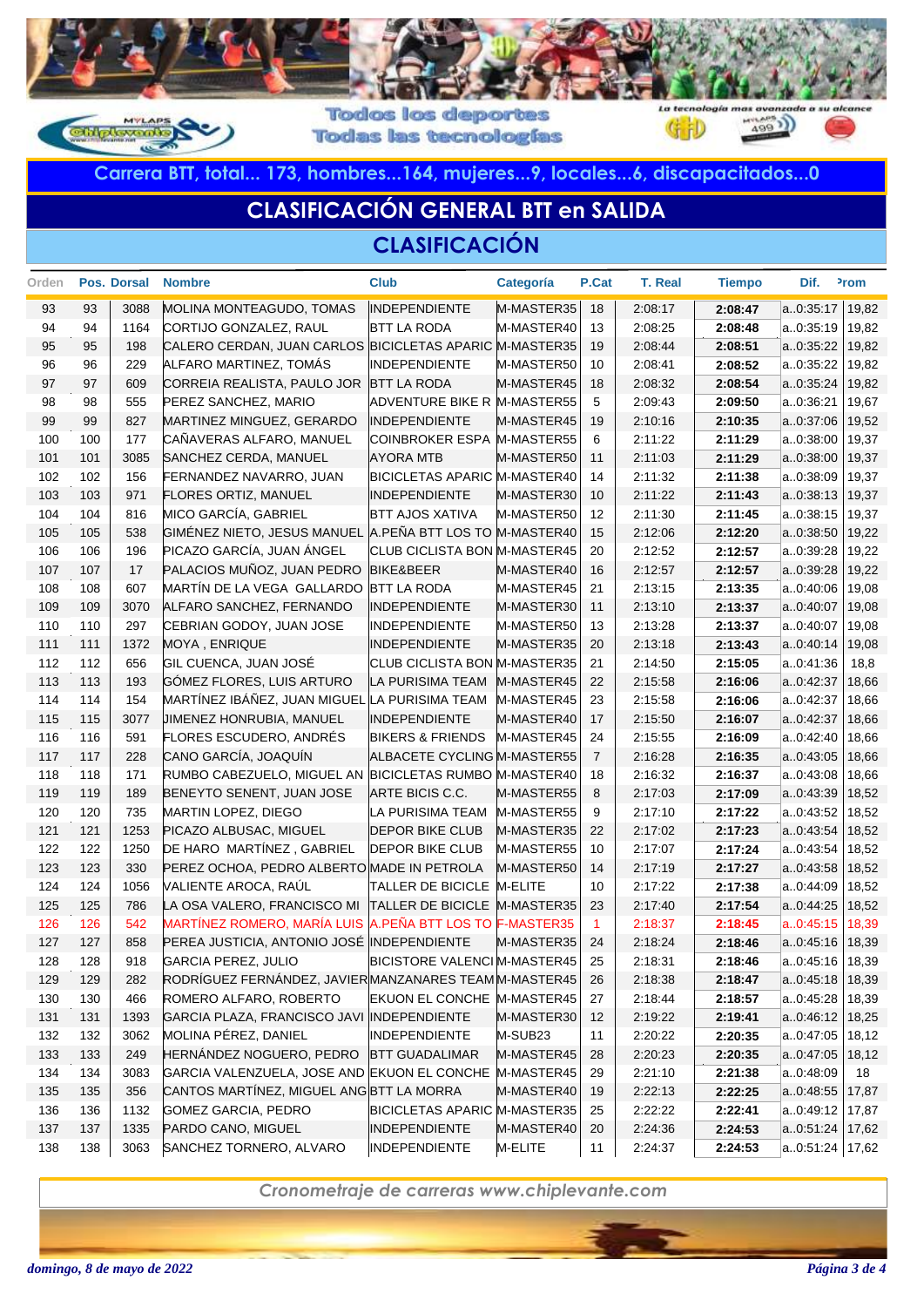

**Carrera BTT, total... 173, hombres...164, mujeres...9, locales...6, discapacitados...0**

# **CLASIFICACIÓN GENERAL BTT en SALIDA**

### **CLASIFICACIÓN**

| Orden      |            | Pos. Dorsal | <b>Nombre</b>                                                                                                        | <b>Club</b>                         | Categoría  | P.Cat              | T. Real            | <b>Tiempo</b>      | Dif.                  | <sup>2</sup> rom |
|------------|------------|-------------|----------------------------------------------------------------------------------------------------------------------|-------------------------------------|------------|--------------------|--------------------|--------------------|-----------------------|------------------|
| 93         | 93         | 3088        | MOLINA MONTEAGUDO, TOMAS                                                                                             | <b>INDEPENDIENTE</b>                | M-MASTER35 | 18                 | 2:08:17            | 2:08:47            | a0:35:17              | 19,82            |
| 94         | 94         | 1164        | CORTIJO GONZALEZ, RAUL                                                                                               | <b>BTT LA RODA</b>                  | M-MASTER40 | 13                 | 2:08:25            | 2:08:48            | a0:35:19              | 19,82            |
| 95         | 95         | 198         | CALERO CERDAN, JUAN CARLOS BICICLETAS APARIC M-MASTER35                                                              |                                     |            | 19                 | 2:08:44            | 2:08:51            | a0:35:22              | 19,82            |
| 96         | 96         | 229         | ALFARO MARTINEZ, TOMÁS                                                                                               | INDEPENDIENTE                       | M-MASTER50 | 10                 | 2:08:41            | 2:08:52            | a0:35:22              | 19,82            |
| 97         | 97         | 609         | CORREIA REALISTA, PAULO JOR                                                                                          | <b>BTT LA RODA</b>                  | M-MASTER45 | 18                 | 2:08:32            | 2:08:54            | a0:35:24              | 19,82            |
| 98         | 98         | 555         | PEREZ SANCHEZ, MARIO                                                                                                 | ADVENTURE BIKE R M-MASTER55         |            | 5                  | 2:09:43            | 2:09:50            | a0:36:21              | 19,67            |
| 99         | 99         | 827         | MARTINEZ MINGUEZ, GERARDO                                                                                            | INDEPENDIENTE                       | M-MASTER45 | 19                 | 2:10:16            | 2:10:35            | a0:37:06              | 19,52            |
| 100        | 100        | 177         | CAÑAVERAS ALFARO, MANUEL                                                                                             | COINBROKER ESPA M-MASTER55          |            | 6                  | 2:11:22            | 2:11:29            | a0:38:00              | 19,37            |
| 101        | 101        | 3085        | SANCHEZ CERDA, MANUEL                                                                                                | <b>AYORA MTB</b>                    | M-MASTER50 | 11                 | 2:11:03            | 2:11:29            | a0:38:00              | 19,37            |
| 102        | 102        | 156         | FERNANDEZ NAVARRO, JUAN                                                                                              | <b>BICICLETAS APARIC M-MASTER40</b> |            | 14                 | 2:11:32            | 2:11:38            | a0:38:09              | 19,37            |
| 103        | 103        | 971         | <b>FLORES ORTIZ, MANUEL</b>                                                                                          | <b>INDEPENDIENTE</b>                | M-MASTER30 | 10                 | 2:11:22            | 2:11:43            | a0:38:13              | 19,37            |
| 104        | 104        | 816         | MICO GARCÍA, GABRIEL                                                                                                 | <b>BTT AJOS XATIVA</b>              | M-MASTER50 | 12                 | 2:11:30            | 2:11:45            | a0:38:15              | 19,37            |
| 105<br>106 | 105<br>106 | 538<br>196  | GIMÉNEZ NIETO, JESUS MANUEL A.PEÑA BTT LOS TO M-MASTER40<br>PICAZO GARCÍA, JUAN ÁNGEL                                | CLUB CICLISTA BON M-MASTER45        |            | 15<br>20           | 2:12:06<br>2:12:52 | 2:12:20<br>2:12:57 | a0:38:50<br>a0:39:28  | 19,22<br>19,22   |
| 107        | 107        | 17          | PALACIOS MUÑOZ, JUAN PEDRO                                                                                           | <b>BIKE&amp;BEER</b>                | M-MASTER40 | 16                 | 2:12:57            | 2:12:57            | a0:39:28              | 19,22            |
| 108        | 108        | 607         | MARTÍN DE LA VEGA GALLARDO                                                                                           | <b>BTT LA RODA</b>                  | M-MASTER45 | 21                 | 2:13:15            | 2:13:35            | a0:40:06              | 19,08            |
| 109        | 109        | 3070        | ALFARO SANCHEZ, FERNANDO                                                                                             | INDEPENDIENTE                       | M-MASTER30 | 11                 | 2:13:10            | 2:13:37            | a0:40:07              | 19,08            |
| 110        | 110        | 297         | CEBRIAN GODOY, JUAN JOSE                                                                                             | <b>INDEPENDIENTE</b>                | M-MASTER50 | 13                 | 2:13:28            | 2:13:37            | a0:40:07              | 19,08            |
| 111        | 111        | 1372        | MOYA, ENRIQUE                                                                                                        | <b>INDEPENDIENTE</b>                | M-MASTER35 | 20                 | 2:13:18            | 2:13:43            | a0:40:14              | 19,08            |
| 112        | 112        | 656         | GIL CUENCA, JUAN JOSÉ                                                                                                | CLUB CICLISTA BON M-MASTER35        |            | 21                 | 2:14:50            | 2:15:05            | a0:41:36              | 18,8             |
| 113        | 113        | 193         | GÓMEZ FLORES, LUIS ARTURO                                                                                            | LA PURISIMA TEAM                    | M-MASTER45 | 22                 | 2:15:58            | 2:16:06            | a0:42:37              | 18,66            |
| 114        | 114        | 154         | MARTÍNEZ IBÁÑEZ, JUAN MIGUEL LA PURISIMA TEAM                                                                        |                                     | M-MASTER45 | 23                 | 2:15:58            | 2:16:06            | a0:42:37              | 18,66            |
| 115        | 115        | 3077        | <b>JIMENEZ HONRUBIA, MANUEL</b>                                                                                      | <b>INDEPENDIENTE</b>                | M-MASTER40 | 17                 | 2:15:50            | 2:16:07            | a0:42:37              | 18,66            |
| 116        | 116        | 591         | <b>FLORES ESCUDERO, ANDRÉS</b>                                                                                       | <b>BIKERS &amp; FRIENDS</b>         | M-MASTER45 | 24                 | 2:15:55            | 2:16:09            | a0:42:40              | 18,66            |
| 117        | 117        | 228         | CANO GARCÍA, JOAQUÍN                                                                                                 | ALBACETE CYCLING M-MASTER55         |            | $\overline{7}$     | 2:16:28            | 2:16:35            | a0:43:05              | 18,66            |
| 118        | 118        | 171         | RUMBO CABEZUELO, MIGUEL AN BICICLETAS RUMBO M-MASTER40                                                               |                                     |            | 18                 | 2:16:32            | 2:16:37            | a0:43:08              | 18,66            |
| 119        | 119        | 189         | BENEYTO SENENT, JUAN JOSE                                                                                            | ARTE BICIS C.C.                     | M-MASTER55 | 8                  | 2:17:03            | 2:17:09            | a0:43:39              | 18,52            |
| 120        | 120        | 735         | MARTIN LOPEZ, DIEGO                                                                                                  | LA PURISIMA TEAM                    | M-MASTER55 | 9                  | 2:17:10            | 2:17:22            | a0:43:52              | 18,52            |
| 121        | 121        | 1253        | PICAZO ALBUSAC, MIGUEL                                                                                               | <b>DEPOR BIKE CLUB</b>              | M-MASTER35 | 22                 | 2:17:02            | 2:17:23            | a0:43:54              | 18,52            |
| 122        | 122        | 1250        | DE HARO MARTÍNEZ, GABRIEL                                                                                            | <b>DEPOR BIKE CLUB</b>              | M-MASTER55 | 10                 | 2:17:07            | 2:17:24            | a0:43:54              | 18,52            |
| 123        | 123        | 330         | PEREZ OCHOA, PEDRO ALBERTO MADE IN PETROLA                                                                           |                                     | M-MASTER50 | 14                 | 2:17:19            | 2:17:27            | a0:43:58              | 18,52            |
| 124        | 124        | 1056        | VALIENTE AROCA, RAÚL                                                                                                 | TALLER DE BICICLE M-ELITE           |            | 10                 | 2:17:22            | 2:17:38            | a0:44:09              | 18,52            |
| 125<br>126 | 125<br>126 | 786<br>542  | LA OSA VALERO, FRANCISCO MI TALLER DE BICICLE M-MASTER35<br>MARTÍNEZ ROMERO, MARÍA LUIS A.PEÑA BTT LOS TO F-MASTER35 |                                     |            | 23<br>$\mathbf{1}$ | 2:17:40<br>2:18:37 | 2:17:54            | a0:44:25<br>a.0:45:15 | 18,52<br>18,39   |
| 127        | 127        | 858         | PEREA JUSTICIA, ANTONIO JOSÉ INDEPENDIENTE                                                                           |                                     | M-MASTER35 | 24                 | 2:18:24            | 2:18:45<br>2:18:46 | a0:45:16              | 18,39            |
| 128        | 128        | 918         | <b>GARCIA PEREZ, JULIO</b>                                                                                           | <b>BICISTORE VALENCI M-MASTER45</b> |            | 25                 | 2:18:31            | 2:18:46            | a0:45:16              | 18,39            |
| 129        | 129        | 282         | RODRÍGUEZ FERNÁNDEZ, JAVIER MANZANARES TEAM M-MASTER45                                                               |                                     |            | 26                 | 2:18:38            | 2:18:47            | a0:45:18              | 18,39            |
| 130        | 130        | 466         | ROMERO ALFARO, ROBERTO                                                                                               | EKUON EL CONCHE M-MASTER45          |            | 27                 | 2:18:44            | 2:18:57            | a0:45:28              | 18,39            |
| 131        | 131        | 1393        | GARCIA PLAZA, FRANCISCO JAVI INDEPENDIENTE                                                                           |                                     | M-MASTER30 | 12                 | 2:19:22            | 2:19:41            | a0:46:12              | 18,25            |
| 132        | 132        | 3062        | MOLINA PÉREZ, DANIEL                                                                                                 | <b>INDEPENDIENTE</b>                | M-SUB23    | 11                 | 2:20:22            | 2:20:35            | a0:47:05              | 18,12            |
| 133        | 133        | 249         | HERNÁNDEZ NOGUERO, PEDRO                                                                                             | <b>BTT GUADALIMAR</b>               | M-MASTER45 | 28                 | 2:20:23            | 2:20:35            | a0:47:05              | 18,12            |
| 134        | 134        | 3083        | GARCIA VALENZUELA, JOSE AND EKUON EL CONCHE M-MASTER45                                                               |                                     |            | 29                 | 2:21:10            | 2:21:38            | a0:48:09              | 18               |
| 135        | 135        | 356         | CANTOS MARTÍNEZ, MIGUEL ANG BTT LA MORRA                                                                             |                                     | M-MASTER40 | 19                 | 2:22:13            | 2:22:25            | a0:48:55              | 17,87            |
| 136        | 136        | 1132        | <b>GOMEZ GARCIA, PEDRO</b>                                                                                           | <b>BICICLETAS APARIC M-MASTER35</b> |            | 25                 | 2:22:22            | 2:22:41            | a0:49:12              | 17,87            |
| 137        | 137        | 1335        | PARDO CANO, MIGUEL                                                                                                   | INDEPENDIENTE                       | M-MASTER40 | 20                 | 2:24:36            | 2:24:53            | a0:51:24              | 17,62            |
| 138        | 138        | 3063        | SANCHEZ TORNERO, ALVARO                                                                                              | <b>INDEPENDIENTE</b>                | M-ELITE    | 11                 | 2:24:37            | 2:24:53            | a0:51:24              | 17,62            |